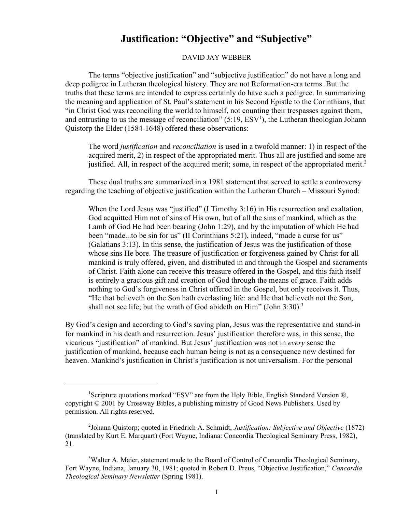## **Justification: "Objective" and "Subjective"**

DAVID JAY WEBBER

The terms "objective justification" and "subjective justification" do not have a long and deep pedigree in Lutheran theological history. They are not Reformation-era terms. But the truths that these terms are intended to express certainly do have such a pedigree. In summarizing the meaning and application of St. Paul's statement in his Second Epistle to the Corinthians, that "in Christ God was reconciling the world to himself, not counting their trespasses against them, and entrusting to us the message of reconciliation"  $(5:19, \text{ESV}^1)$ , the Lutheran theologian Johann Quistorp the Elder (1584-1648) offered these observations:

The word *justification* and *reconciliation* is used in a twofold manner: 1) in respect of the acquired merit, 2) in respect of the appropriated merit. Thus all are justified and some are justified. All, in respect of the acquired merit; some, in respect of the appropriated merit.<sup>2</sup>

These dual truths are summarized in a 1981 statement that served to settle a controversy regarding the teaching of objective justification within the Lutheran Church – Missouri Synod:

When the Lord Jesus was "justified" (I Timothy 3:16) in His resurrection and exaltation, God acquitted Him not of sins of His own, but of all the sins of mankind, which as the Lamb of God He had been bearing (John 1:29), and by the imputation of which He had been "made...to be sin for us" (II Corinthians 5:21), indeed, "made a curse for us" (Galatians 3:13). In this sense, the justification of Jesus was the justification of those whose sins He bore. The treasure of justification or forgiveness gained by Christ for all mankind is truly offered, given, and distributed in and through the Gospel and sacraments of Christ. Faith alone can receive this treasure offered in the Gospel, and this faith itself is entirely a gracious gift and creation of God through the means of grace. Faith adds nothing to God's forgiveness in Christ offered in the Gospel, but only receives it. Thus, "He that believeth on the Son hath everlasting life: and He that believeth not the Son, shall not see life; but the wrath of God abideth on Him" (John  $3:30$ ).<sup>3</sup>

By God's design and according to God's saving plan, Jesus was the representative and stand-in for mankind in his death and resurrection. Jesus' justification therefore was, in this sense, the vicarious "justification" of mankind. But Jesus' justification was not in *every* sense the justification of mankind, because each human being is not as a consequence now destined for heaven. Mankind's justification in Christ's justification is not universalism. For the personal

<sup>&</sup>lt;sup>1</sup>Scripture quotations marked "ESV" are from the Holy Bible, English Standard Version ®, copyright © 2001 by Crossway Bibles, a publishing ministry of Good News Publishers. Used by permission. All rights reserved.

<sup>2</sup> Johann Quistorp; quoted in Friedrich A. Schmidt, *Justification: Subjective and Objective* (1872) (translated by Kurt E. Marquart) (Fort Wayne, Indiana: Concordia Theological Seminary Press, 1982), 21.

<sup>&</sup>lt;sup>3</sup>Walter A. Maier, statement made to the Board of Control of Concordia Theological Seminary, Fort Wayne, Indiana, January 30, 1981; quoted in Robert D. Preus, "Objective Justification," *Concordia Theological Seminary Newsletter* (Spring 1981).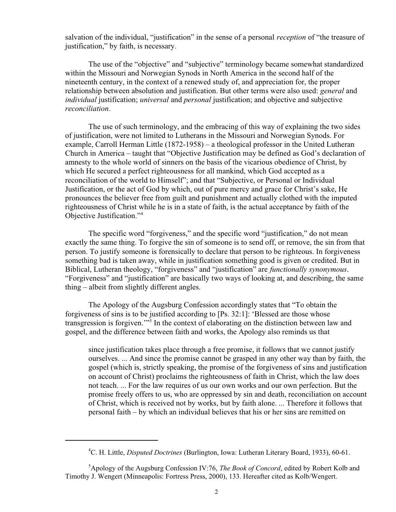salvation of the individual, "justification" in the sense of a personal *reception* of "the treasure of justification," by faith, is necessary.

The use of the "objective" and "subjective" terminology became somewhat standardized within the Missouri and Norwegian Synods in North America in the second half of the nineteenth century, in the context of a renewed study of, and appreciation for, the proper relationship between absolution and justification. But other terms were also used: *general* and *individual* justification; *universal* and *personal* justification; and objective and subjective *reconciliation*.

The use of such terminology, and the embracing of this way of explaining the two sides of justification, were not limited to Lutherans in the Missouri and Norwegian Synods. For example, Carroll Herman Little (1872-1958) – a theological professor in the United Lutheran Church in America – taught that "Objective Justification may be defined as God's declaration of amnesty to the whole world of sinners on the basis of the vicarious obedience of Christ, by which He secured a perfect righteousness for all mankind, which God accepted as a reconciliation of the world to Himself"; and that "Subjective, or Personal or Individual Justification, or the act of God by which, out of pure mercy and grace for Christ's sake, He pronounces the believer free from guilt and punishment and actually clothed with the imputed righteousness of Christ while he is in a state of faith, is the actual acceptance by faith of the Objective Justification."<sup>4</sup>

The specific word "forgiveness," and the specific word "justification," do not mean exactly the same thing. To forgive the sin of someone is to send off, or remove, the sin from that person. To justify someone is forensically to declare that person to be righteous. In forgiveness something bad is taken away, while in justification something good is given or credited. But in Biblical, Lutheran theology, "forgiveness" and "justification" are *functionally synonymous*. "Forgiveness" and "justification" are basically two ways of looking at, and describing, the same thing – albeit from slightly different angles.

The Apology of the Augsburg Confession accordingly states that "To obtain the forgiveness of sins is to be justified according to [Ps. 32:1]: 'Blessed are those whose transgression is forgiven.'"<sup>5</sup> In the context of elaborating on the distinction between law and gospel, and the difference between faith and works, the Apology also reminds us that

since justification takes place through a free promise, it follows that we cannot justify ourselves. ... And since the promise cannot be grasped in any other way than by faith, the gospel (which is, strictly speaking, the promise of the forgiveness of sins and justification on account of Christ) proclaims the righteousness of faith in Christ, which the law does not teach. ... For the law requires of us our own works and our own perfection. But the promise freely offers to us, who are oppressed by sin and death, reconciliation on account of Christ, which is received not by works, but by faith alone. ... Therefore it follows that personal faith – by which an individual believes that his or her sins are remitted on

<sup>4</sup>C. H. Little, *Disputed Doctrines* (Burlington, Iowa: Lutheran Literary Board, 1933), 60-61.

<sup>5</sup>Apology of the Augsburg Confession IV:76, *The Book of Concord*, edited by Robert Kolb and Timothy J. Wengert (Minneapolis: Fortress Press, 2000), 133. Hereafter cited as Kolb/Wengert.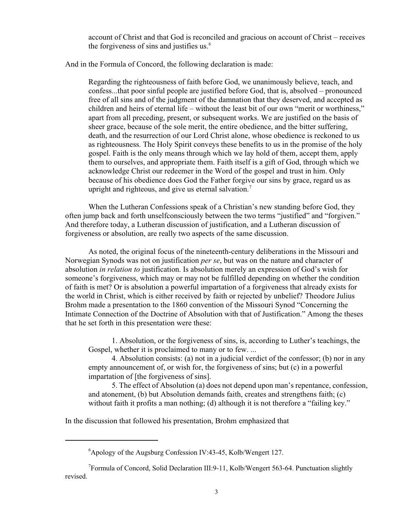account of Christ and that God is reconciled and gracious on account of Christ – receives the forgiveness of sins and justifies us. $<sup>6</sup>$ </sup>

And in the Formula of Concord, the following declaration is made:

Regarding the righteousness of faith before God, we unanimously believe, teach, and confess...that poor sinful people are justified before God, that is, absolved – pronounced free of all sins and of the judgment of the damnation that they deserved, and accepted as children and heirs of eternal life – without the least bit of our own "merit or worthiness," apart from all preceding, present, or subsequent works. We are justified on the basis of sheer grace, because of the sole merit, the entire obedience, and the bitter suffering, death, and the resurrection of our Lord Christ alone, whose obedience is reckoned to us as righteousness. The Holy Spirit conveys these benefits to us in the promise of the holy gospel. Faith is the only means through which we lay hold of them, accept them, apply them to ourselves, and appropriate them. Faith itself is a gift of God, through which we acknowledge Christ our redeemer in the Word of the gospel and trust in him. Only because of his obedience does God the Father forgive our sins by grace, regard us as upright and righteous, and give us eternal salvation.<sup>7</sup>

When the Lutheran Confessions speak of a Christian's new standing before God, they often jump back and forth unselfconsciously between the two terms "justified" and "forgiven." And therefore today, a Lutheran discussion of justification, and a Lutheran discussion of forgiveness or absolution, are really two aspects of the same discussion.

As noted, the original focus of the nineteenth-century deliberations in the Missouri and Norwegian Synods was not on justification *per se*, but was on the nature and character of absolution *in relation to* justification. Is absolution merely an expression of God's wish for someone's forgiveness, which may or may not be fulfilled depending on whether the condition of faith is met? Or is absolution a powerful impartation of a forgiveness that already exists for the world in Christ, which is either received by faith or rejected by unbelief? Theodore Julius Brohm made a presentation to the 1860 convention of the Missouri Synod "Concerning the Intimate Connection of the Doctrine of Absolution with that of Justification." Among the theses that he set forth in this presentation were these:

1. Absolution, or the forgiveness of sins, is, according to Luther's teachings, the Gospel, whether it is proclaimed to many or to few. ...

4. Absolution consists: (a) not in a judicial verdict of the confessor; (b) nor in any empty announcement of, or wish for, the forgiveness of sins; but (c) in a powerful impartation of [the forgiveness of sins].

5. The effect of Absolution (a) does not depend upon man's repentance, confession, and atonement, (b) but Absolution demands faith, creates and strengthens faith; (c) without faith it profits a man nothing; (d) although it is not therefore a "failing key."

In the discussion that followed his presentation, Brohm emphasized that

<sup>6</sup>Apology of the Augsburg Confession IV:43-45, Kolb/Wengert 127.

<sup>&</sup>lt;sup>7</sup>Formula of Concord, Solid Declaration III:9-11, Kolb/Wengert 563-64. Punctuation slightly revised.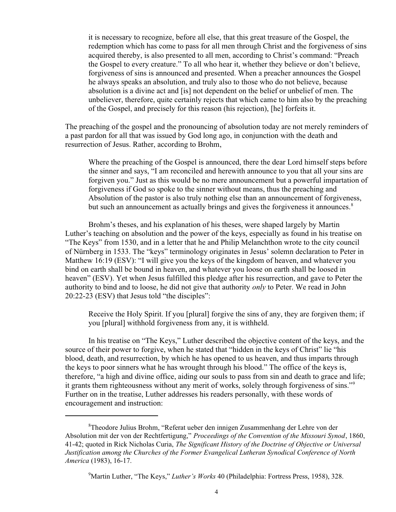it is necessary to recognize, before all else, that this great treasure of the Gospel, the redemption which has come to pass for all men through Christ and the forgiveness of sins acquired thereby, is also presented to all men, according to Christ's command: "Preach the Gospel to every creature." To all who hear it, whether they believe or don't believe, forgiveness of sins is announced and presented. When a preacher announces the Gospel he always speaks an absolution, and truly also to those who do not believe, because absolution is a divine act and [is] not dependent on the belief or unbelief of men. The unbeliever, therefore, quite certainly rejects that which came to him also by the preaching of the Gospel, and precisely for this reason (his rejection), [he] forfeits it.

The preaching of the gospel and the pronouncing of absolution today are not merely reminders of a past pardon for all that was issued by God long ago, in conjunction with the death and resurrection of Jesus. Rather, according to Brohm,

Where the preaching of the Gospel is announced, there the dear Lord himself steps before the sinner and says, "I am reconciled and herewith announce to you that all your sins are forgiven you." Just as this would be no mere announcement but a powerful impartation of forgiveness if God so spoke to the sinner without means, thus the preaching and Absolution of the pastor is also truly nothing else than an announcement of forgiveness, but such an announcement as actually brings and gives the forgiveness it announces.<sup>8</sup>

Brohm's theses, and his explanation of his theses, were shaped largely by Martin Luther's teaching on absolution and the power of the keys, especially as found in his treatise on "The Keys" from 1530, and in a letter that he and Philip Melanchthon wrote to the city council of Nürnberg in 1533. The "keys" terminology originates in Jesus' solemn declaration to Peter in Matthew 16:19 (ESV): "I will give you the keys of the kingdom of heaven, and whatever you bind on earth shall be bound in heaven, and whatever you loose on earth shall be loosed in heaven" (ESV). Yet when Jesus fulfilled this pledge after his resurrection, and gave to Peter the authority to bind and to loose, he did not give that authority *only* to Peter. We read in John 20:22-23 (ESV) that Jesus told "the disciples":

Receive the Holy Spirit. If you [plural] forgive the sins of any, they are forgiven them; if you [plural] withhold forgiveness from any, it is withheld.

In his treatise on "The Keys," Luther described the objective content of the keys, and the source of their power to forgive, when he stated that "hidden in the keys of Christ" lie "his blood, death, and resurrection, by which he has opened to us heaven, and thus imparts through the keys to poor sinners what he has wrought through his blood." The office of the keys is, therefore, "a high and divine office, aiding our souls to pass from sin and death to grace and life; it grants them righteousness without any merit of works, solely through forgiveness of sins."<sup>9</sup> Further on in the treatise, Luther addresses his readers personally, with these words of encouragement and instruction:

<sup>8</sup>Theodore Julius Brohm, "Referat ueber den innigen Zusammenhang der Lehre von der Absolution mit der von der Rechtfertigung," *Proceedings of the Convention of the Missouri Synod*, 1860, 41-42; quoted in Rick Nicholas Curia, *The Significant History of the Doctrine of Objective or Universal Justification among the Churches of the Former Evangelical Lutheran Synodical Conference of North America* (1983), 16-17.

<sup>9</sup>Martin Luther, "The Keys," *Luther's Works* 40 (Philadelphia: Fortress Press, 1958), 328.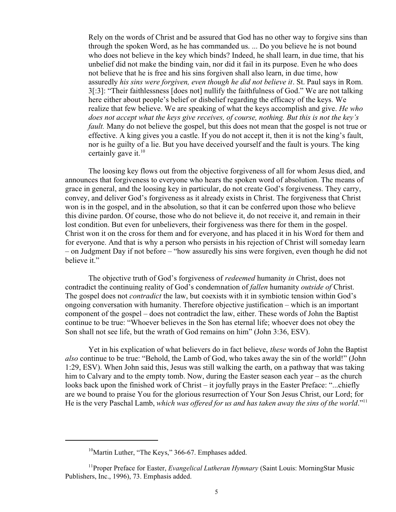Rely on the words of Christ and be assured that God has no other way to forgive sins than through the spoken Word, as he has commanded us. ... Do you believe he is not bound who does not believe in the key which binds? Indeed, he shall learn, in due time, that his unbelief did not make the binding vain, nor did it fail in its purpose. Even he who does not believe that he is free and his sins forgiven shall also learn, in due time, how assuredly *his sins were forgiven, even though he did not believe it*. St. Paul says in Rom. 3[:3]: "Their faithlessness [does not] nullify the faithfulness of God." We are not talking here either about people's belief or disbelief regarding the efficacy of the keys. We realize that few believe. We are speaking of what the keys accomplish and give. *He who does not accept what the keys give receives, of course, nothing. But this is not the key's fault.* Many do not believe the gospel, but this does not mean that the gospel is not true or effective. A king gives you a castle. If you do not accept it, then it is not the king's fault, nor is he guilty of a lie. But you have deceived yourself and the fault is yours. The king certainly gave it. $10$ 

The loosing key flows out from the objective forgiveness of all for whom Jesus died, and announces that forgiveness to everyone who hears the spoken word of absolution. The means of grace in general, and the loosing key in particular, do not create God's forgiveness. They carry, convey, and deliver God's forgiveness as it already exists in Christ. The forgiveness that Christ won is in the gospel, and in the absolution, so that it can be conferred upon those who believe this divine pardon. Of course, those who do not believe it, do not receive it, and remain in their lost condition. But even for unbelievers, their forgiveness was there for them in the gospel. Christ won it on the cross for them and for everyone, and has placed it in his Word for them and for everyone. And that is why a person who persists in his rejection of Christ will someday learn – on Judgment Day if not before – "how assuredly his sins were forgiven, even though he did not believe it."

The objective truth of God's forgiveness of *redeemed* humanity *in* Christ, does not contradict the continuing reality of God's condemnation of *fallen* humanity *outside of* Christ. The gospel does not *contradict* the law, but coexists with it in symbiotic tension within God's ongoing conversation with humanity. Therefore objective justification – which is an important component of the gospel – does not contradict the law, either. These words of John the Baptist continue to be true: "Whoever believes in the Son has eternal life; whoever does not obey the Son shall not see life, but the wrath of God remains on him" (John 3:36, ESV).

Yet in his explication of what believers do in fact believe, *these* words of John the Baptist *also* continue to be true: "Behold, the Lamb of God, who takes away the sin of the world!" (John 1:29, ESV). When John said this, Jesus was still walking the earth, on a pathway that was taking him to Calvary and to the empty tomb. Now, during the Easter season each year – as the church looks back upon the finished work of Christ – it joyfully prays in the Easter Preface: "...chiefly are we bound to praise You for the glorious resurrection of Your Son Jesus Christ, our Lord; for He is the very Paschal Lamb, *which was offered for us and has taken away the sins of the world*."<sup>11</sup>

<sup>&</sup>lt;sup>10</sup>Martin Luther, "The Keys," 366-67. Emphases added.

<sup>&</sup>lt;sup>11</sup> Proper Preface for Easter, *Evangelical Lutheran Hymnary* (Saint Louis: MorningStar Music Publishers, Inc., 1996), 73. Emphasis added.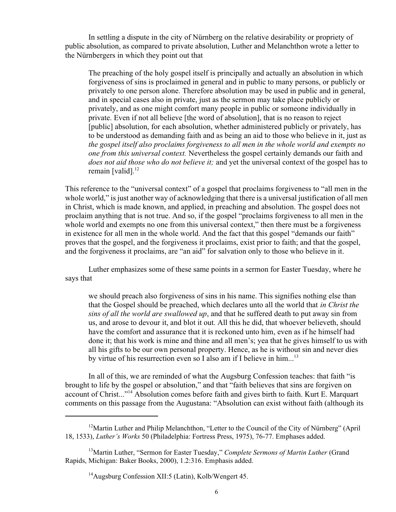In settling a dispute in the city of Nürnberg on the relative desirability or propriety of public absolution, as compared to private absolution, Luther and Melanchthon wrote a letter to the Nürnbergers in which they point out that

The preaching of the holy gospel itself is principally and actually an absolution in which forgiveness of sins is proclaimed in general and in public to many persons, or publicly or privately to one person alone. Therefore absolution may be used in public and in general, and in special cases also in private, just as the sermon may take place publicly or privately, and as one might comfort many people in public or someone individually in private. Even if not all believe [the word of absolution], that is no reason to reject [public] absolution, for each absolution, whether administered publicly or privately, has to be understood as demanding faith and as being an aid to those who believe in it, just as *the gospel itself also proclaims forgiveness to all men in the whole world and exempts no one from this universal context.* Nevertheless the gospel certainly demands our faith and *does not aid those who do not believe it;* and yet the universal context of the gospel has to remain [valid]. $^{12}$ 

This reference to the "universal context" of a gospel that proclaims forgiveness to "all men in the whole world," is just another way of acknowledging that there is a universal justification of all men in Christ, which is made known, and applied, in preaching and absolution. The gospel does not proclaim anything that is not true. And so, if the gospel "proclaims forgiveness to all men in the whole world and exempts no one from this universal context," then there must be a forgiveness in existence for all men in the whole world. And the fact that this gospel "demands our faith" proves that the gospel, and the forgiveness it proclaims, exist prior to faith; and that the gospel, and the forgiveness it proclaims, are "an aid" for salvation only to those who believe in it.

Luther emphasizes some of these same points in a sermon for Easter Tuesday, where he says that

we should preach also forgiveness of sins in his name. This signifies nothing else than that the Gospel should be preached, which declares unto all the world that *in Christ the sins of all the world are swallowed up*, and that he suffered death to put away sin from us, and arose to devour it, and blot it out. All this he did, that whoever believeth, should have the comfort and assurance that it is reckoned unto him, even as if he himself had done it; that his work is mine and thine and all men's; yea that he gives himself to us with all his gifts to be our own personal property. Hence, as he is without sin and never dies by virtue of his resurrection even so I also am if I believe in him...<sup>13</sup>

In all of this, we are reminded of what the Augsburg Confession teaches: that faith "is brought to life by the gospel or absolution," and that "faith believes that sins are forgiven on account of Christ..."<sup>14</sup> Absolution comes before faith and gives birth to faith. Kurt E. Marquart comments on this passage from the Augustana: "Absolution can exist without faith (although its

<sup>&</sup>lt;sup>12</sup>Martin Luther and Philip Melanchthon, "Letter to the Council of the City of Nürnberg" (April 18, 1533), *Luther's Works* 50 (Philadelphia: Fortress Press, 1975), 76-77. Emphases added.

<sup>&</sup>lt;sup>13</sup>Martin Luther, "Sermon for Easter Tuesday," *Complete Sermons of Martin Luther* (Grand Rapids, Michigan: Baker Books, 2000), 1.2:316. Emphasis added.

<sup>14</sup>Augsburg Confession XII:5 (Latin), Kolb/Wengert 45.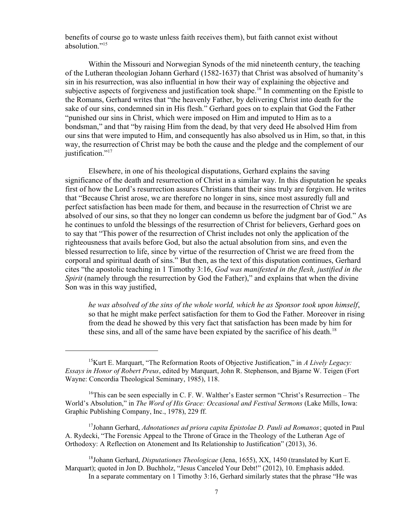benefits of course go to waste unless faith receives them), but faith cannot exist without absolution."<sup>15</sup>

Within the Missouri and Norwegian Synods of the mid nineteenth century, the teaching of the Lutheran theologian Johann Gerhard (1582-1637) that Christ was absolved of humanity's sin in his resurrection, was also influential in how their way of explaining the objective and subjective aspects of forgiveness and justification took shape.<sup>16</sup> In commenting on the Epistle to the Romans, Gerhard writes that "the heavenly Father, by delivering Christ into death for the sake of our sins, condemned sin in His flesh." Gerhard goes on to explain that God the Father "punished our sins in Christ, which were imposed on Him and imputed to Him as to a bondsman," and that "by raising Him from the dead, by that very deed He absolved Him from our sins that were imputed to Him, and consequently has also absolved us in Him, so that, in this way, the resurrection of Christ may be both the cause and the pledge and the complement of our iustification."<sup>17</sup>

Elsewhere, in one of his theological disputations, Gerhard explains the saving significance of the death and resurrection of Christ in a similar way. In this disputation he speaks first of how the Lord's resurrection assures Christians that their sins truly are forgiven. He writes that "Because Christ arose, we are therefore no longer in sins, since most assuredly full and perfect satisfaction has been made for them, and because in the resurrection of Christ we are absolved of our sins, so that they no longer can condemn us before the judgment bar of God." As he continues to unfold the blessings of the resurrection of Christ for believers, Gerhard goes on to say that "This power of the resurrection of Christ includes not only the application of the righteousness that avails before God, but also the actual absolution from sins, and even the blessed resurrection to life, since by virtue of the resurrection of Christ we are freed from the corporal and spiritual death of sins." But then, as the text of this disputation continues, Gerhard cites "the apostolic teaching in 1 Timothy 3:16, *God was manifested in the flesh, justified in the Spirit* (namely through the resurrection by God the Father)," and explains that when the divine Son was in this way justified,

*he was absolved of the sins of the whole world, which he as Sponsor took upon himself*, so that he might make perfect satisfaction for them to God the Father. Moreover in rising from the dead he showed by this very fact that satisfaction has been made by him for these sins, and all of the same have been expiated by the sacrifice of his death.<sup>18</sup>

 $16$ This can be seen especially in C. F. W. Walther's Easter sermon "Christ's Resurrection – The World's Absolution," in *The Word of His Grace: Occasional and Festival Sermons* (Lake Mills, Iowa: Graphic Publishing Company, Inc., 1978), 229 ff.

<sup>17</sup>Johann Gerhard, *Adnotationes ad priora capita Epistolae D. Pauli ad Romanos*; quoted in Paul A. Rydecki, "The Forensic Appeal to the Throne of Grace in the Theology of the Lutheran Age of Orthodoxy: A Reflection on Atonement and Its Relationship to Justification" (2013), 36.

<sup>18</sup>Johann Gerhard, *Disputationes Theologicae* (Jena, 1655), XX, 1450 (translated by Kurt E. Marquart); quoted in Jon D. Buchholz, "Jesus Canceled Your Debt!" (2012), 10. Emphasis added. In a separate commentary on 1 Timothy 3:16, Gerhard similarly states that the phrase "He was

<sup>15</sup>Kurt E. Marquart, "The Reformation Roots of Objective Justification," in *A Lively Legacy: Essays in Honor of Robert Preus*, edited by Marquart, John R. Stephenson, and Bjarne W. Teigen (Fort Wayne: Concordia Theological Seminary, 1985), 118.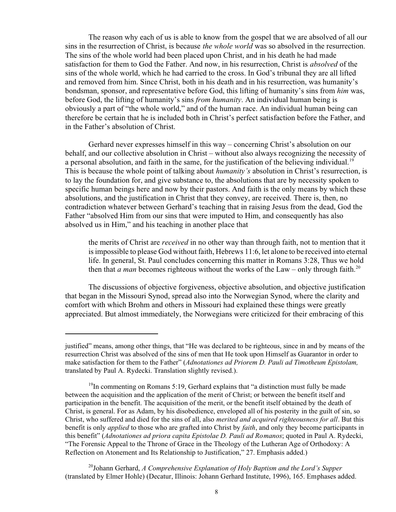The reason why each of us is able to know from the gospel that we are absolved of all our sins in the resurrection of Christ, is because *the whole world* was so absolved in the resurrection. The sins of the whole world had been placed upon Christ, and in his death he had made satisfaction for them to God the Father. And now, in his resurrection, Christ is *absolved* of the sins of the whole world, which he had carried to the cross. In God's tribunal they are all lifted and removed from him. Since Christ, both in his death and in his resurrection, was humanity's bondsman, sponsor, and representative before God, this lifting of humanity's sins from *him* was, before God, the lifting of humanity's sins *from humanity*. An individual human being is obviously a part of "the whole world," and of the human race. An individual human being can therefore be certain that he is included both in Christ's perfect satisfaction before the Father, and in the Father's absolution of Christ.

Gerhard never expresses himself in this way – concerning Christ's absolution on our behalf, and our collective absolution in Christ – without also always recognizing the necessity of a personal absolution, and faith in the same, for the justification of the believing individual.<sup>19</sup> This is because the whole point of talking about *humanity's* absolution in Christ's resurrection, is to lay the foundation for, and give substance to, the absolutions that are by necessity spoken to specific human beings here and now by their pastors. And faith is the only means by which these absolutions, and the justification in Christ that they convey, are received. There is, then, no contradiction whatever between Gerhard's teaching that in raising Jesus from the dead, God the Father "absolved Him from our sins that were imputed to Him, and consequently has also absolved us in Him," and his teaching in another place that

the merits of Christ are *received* in no other way than through faith, not to mention that it is impossible to please God without faith, Hebrews 11:6, let alone to be received into eternal life. In general, St. Paul concludes concerning this matter in Romans 3:28, Thus we hold then that *a man* becomes righteous without the works of the Law – only through faith.<sup>20</sup>

The discussions of objective forgiveness, objective absolution, and objective justification that began in the Missouri Synod, spread also into the Norwegian Synod, where the clarity and comfort with which Brohm and others in Missouri had explained these things were greatly appreciated. But almost immediately, the Norwegians were criticized for their embracing of this

20 Johann Gerhard, *A Comprehensive Explanation of Holy Baptism and the Lord's Supper* (translated by Elmer Hohle) (Decatur, Illinois: Johann Gerhard Institute, 1996), 165. Emphases added.

justified" means, among other things, that "He was declared to be righteous, since in and by means of the resurrection Christ was absolved of the sins of men that He took upon Himself as Guarantor in order to make satisfaction for them to the Father" (*Adnotationes ad Priorem D. Pauli ad Timotheum Epistolam,* translated by Paul A. Rydecki. Translation slightly revised.).

 $19$ In commenting on Romans 5:19, Gerhard explains that "a distinction must fully be made between the acquisition and the application of the merit of Christ; or between the benefit itself and participation in the benefit. The acquisition of the merit, or the benefit itself obtained by the death of Christ, is general. For as Adam, by his disobedience, enveloped all of his posterity in the guilt of sin, so Christ, who suffered and died for the sins of all, also *merited and acquired righteousness for all*. But this benefit is only *applied* to those who are grafted into Christ by *faith*, and only they become participants in this benefit" (*Adnotationes ad priora capita Epistolae D. Pauli ad Romanos*; quoted in Paul A. Rydecki, "The Forensic Appeal to the Throne of Grace in the Theology of the Lutheran Age of Orthodoxy: A Reflection on Atonement and Its Relationship to Justification," 27. Emphasis added.)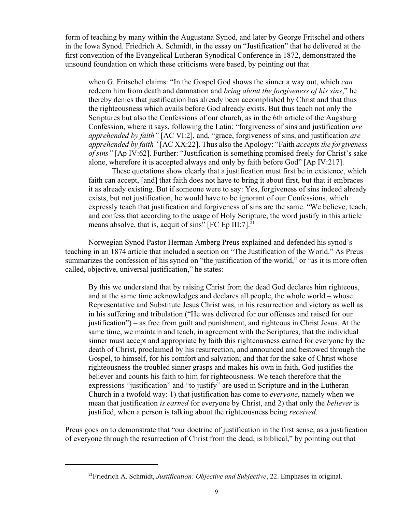form of teaching by many within the Augustana Synod, and later by George Fritschel and others in the Iowa Synod. Friedrich A. Schmidt, in the essay on "Justification" that he delivered at the first convention of the Evangelical Lutheran Synodical Conference in 1872, demonstrated the unsound foundation on which these criticisms were based, by pointing out that

when G. Fritschel claims: "In the Gospel God shows the sinner a way out, which *can* redeem him from death and damnation and *bring about the forgiveness of his sins*," he thereby denies that justification has already been accomplished by Christ and that thus the righteousness which avails before God already exists. But thus teach not only the Scriptures but also the Confessions of our church, as in the 6th article of the Augsburg Confession, where it says, following the Latin: "forgiveness of sins and justification *are apprehended by faith"* [AC VI:2], and, "grace, forgiveness of sins, and justification *are apprehended by faith"* [AC XX:22]. Thus also the Apology: "Faith *accepts the forgiveness of sins"* [Ap IV:62]. Further: "Justification is something promised freely for Christ's sake alone, wherefore it is accepted always and only by faith before God" [Ap IV:217].

These quotations show clearly that a justification must first be in existence, which faith can accept, [and] that faith does not have to bring it about first, but that it embraces it as already existing. But if someone were to say: Yes, forgiveness of sins indeed already exists, but not justification, he would have to be ignorant of our Confessions, which expressly teach that justification and forgiveness of sins are the same. "We believe, teach, and confess that according to the usage of Holy Scripture, the word justify in this article means absolve, that is, acquit of sins"  $[FC Ep III:7]$ <sup>21</sup>

Norwegian Synod Pastor Herman Amberg Preus explained and defended his synod's teaching in an 1874 article that included a section on "The Justification of the World." As Preus summarizes the confession of his synod on "the justification of the world," or "as it is more often called, objective, universal justification," he states:

By this we understand that by raising Christ from the dead God declares him righteous, and at the same time acknowledges and declares all people, the whole world – whose Representative and Substitute Jesus Christ was, in his resurrection and victory as well as in his suffering and tribulation ("He was delivered for our offenses and raised for our justification") – as free from guilt and punishment, and righteous in Christ Jesus. At the same time, we maintain and teach, in agreement with the Scriptures, that the individual sinner must accept and appropriate by faith this righteousness earned for everyone by the death of Christ, proclaimed by his resurrection, and announced and bestowed through the Gospel, to himself, for his comfort and salvation; and that for the sake of Christ whose righteousness the troubled sinner grasps and makes his own in faith, God justifies the believer and counts his faith to him for righteousness. We teach therefore that the expressions "justification" and "to justify" are used in Scripture and in the Lutheran Church in a twofold way: 1) that justification has come to *everyone*, namely when we mean that justification *is earned* for everyone by Christ, and 2) that only the *believer* is justified, when a person is talking about the righteousness being *received*.

Preus goes on to demonstrate that "our doctrine of justification in the first sense, as a justification of everyone through the resurrection of Christ from the dead, is biblical," by pointing out that

<sup>21</sup>Friedrich A. Schmidt, *Justification: Objective and Subjective*, 22. Emphases in original.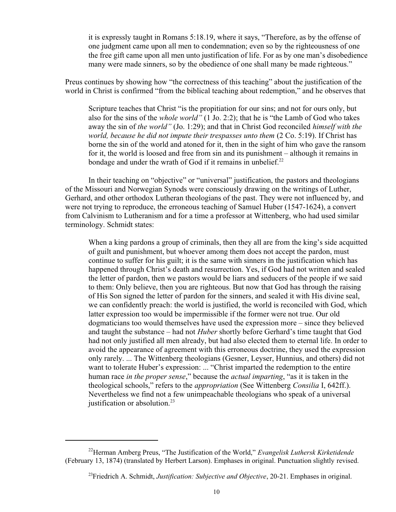it is expressly taught in Romans 5:18.19, where it says, "Therefore, as by the offense of one judgment came upon all men to condemnation; even so by the righteousness of one the free gift came upon all men unto justification of life. For as by one man's disobedience many were made sinners, so by the obedience of one shall many be made righteous."

Preus continues by showing how "the correctness of this teaching" about the justification of the world in Christ is confirmed "from the biblical teaching about redemption," and he observes that

Scripture teaches that Christ "is the propitiation for our sins; and not for ours only, but also for the sins of the *whole world"* (1 Jo. 2:2); that he is "the Lamb of God who takes away the sin of *the world"* (Jo. 1:29); and that in Christ God reconciled *himself with the world, because he did not impute their trespasses unto them* (2 Co. 5:19). If Christ has borne the sin of the world and atoned for it, then in the sight of him who gave the ransom for it, the world is loosed and free from sin and its punishment – although it remains in bondage and under the wrath of God if it remains in unbelief. $^{22}$ 

In their teaching on "objective" or "universal" justification, the pastors and theologians of the Missouri and Norwegian Synods were consciously drawing on the writings of Luther, Gerhard, and other orthodox Lutheran theologians of the past. They were not influenced by, and were not trying to reproduce, the erroneous teaching of Samuel Huber (1547-1624), a convert from Calvinism to Lutheranism and for a time a professor at Wittenberg, who had used similar terminology. Schmidt states:

When a king pardons a group of criminals, then they all are from the king's side acquitted of guilt and punishment, but whoever among them does not accept the pardon, must continue to suffer for his guilt; it is the same with sinners in the justification which has happened through Christ's death and resurrection. Yes, if God had not written and sealed the letter of pardon, then we pastors would be liars and seducers of the people if we said to them: Only believe, then you are righteous. But now that God has through the raising of His Son signed the letter of pardon for the sinners, and sealed it with His divine seal, we can confidently preach: the world is justified, the world is reconciled with God, which latter expression too would be impermissible if the former were not true. Our old dogmaticians too would themselves have used the expression more – since they believed and taught the substance – had not *Huber* shortly before Gerhard's time taught that God had not only justified all men already, but had also elected them to eternal life. In order to avoid the appearance of agreement with this erroneous doctrine, they used the expression only rarely. ... The Wittenberg theologians (Gesner, Leyser, Hunnius, and others) did not want to tolerate Huber's expression: ... "Christ imparted the redemption to the entire human race *in the proper sense*," because the *actual imparting*, "as it is taken in the theological schools," refers to the *appropriation* (See Wittenberg *Consilia* I, 642ff.). Nevertheless we find not a few unimpeachable theologians who speak of a universal justification or absolution. $^{23}$ 

<sup>22</sup>Herman Amberg Preus, "The Justification of the World," *Evangelisk Luthersk Kirketidende* (February 13, 1874) (translated by Herbert Larson). Emphases in original. Punctuation slightly revised.

<sup>23</sup>Friedrich A. Schmidt, *Justification: Subjective and Objective*, 20-21. Emphases in original.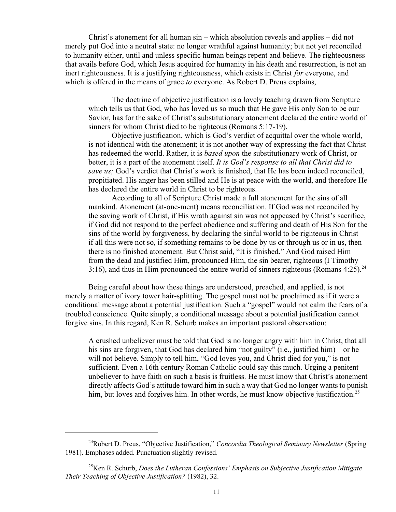Christ's atonement for all human sin – which absolution reveals and applies – did not merely put God into a neutral state: no longer wrathful against humanity; but not yet reconciled to humanity either, until and unless specific human beings repent and believe. The righteousness that avails before God, which Jesus acquired for humanity in his death and resurrection, is not an inert righteousness. It is a justifying righteousness, which exists in Christ *for* everyone, and which is offered in the means of grace *to* everyone. As Robert D. Preus explains,

The doctrine of objective justification is a lovely teaching drawn from Scripture which tells us that God, who has loved us so much that He gave His only Son to be our Savior, has for the sake of Christ's substitutionary atonement declared the entire world of sinners for whom Christ died to be righteous (Romans 5:17-19).

Objective justification, which is God's verdict of acquittal over the whole world, is not identical with the atonement; it is not another way of expressing the fact that Christ has redeemed the world. Rather, it is *based upon* the substitutionary work of Christ, or better, it is a part of the atonement itself. *It is God's response to all that Christ did to save us;* God's verdict that Christ's work is finished, that He has been indeed reconciled, propitiated. His anger has been stilled and He is at peace with the world, and therefore He has declared the entire world in Christ to be righteous.

According to all of Scripture Christ made a full atonement for the sins of all mankind. Atonement (at-one-ment) means reconciliation. If God was not reconciled by the saving work of Christ, if His wrath against sin was not appeased by Christ's sacrifice, if God did not respond to the perfect obedience and suffering and death of His Son for the sins of the world by forgiveness, by declaring the sinful world to be righteous in Christ – if all this were not so, if something remains to be done by us or through us or in us, then there is no finished atonement. But Christ said, "It is finished." And God raised Him from the dead and justified Him, pronounced Him, the sin bearer, righteous (I Timothy 3:16), and thus in Him pronounced the entire world of sinners righteous (Romans 4:25).<sup>24</sup>

Being careful about how these things are understood, preached, and applied, is not merely a matter of ivory tower hair-splitting. The gospel must not be proclaimed as if it were a conditional message about a potential justification. Such a "gospel" would not calm the fears of a troubled conscience. Quite simply, a conditional message about a potential justification cannot forgive sins. In this regard, Ken R. Schurb makes an important pastoral observation:

A crushed unbeliever must be told that God is no longer angry with him in Christ, that all his sins are forgiven, that God has declared him "not guilty" (i.e., justified him) – or he will not believe. Simply to tell him, "God loves you, and Christ died for you," is not sufficient. Even a 16th century Roman Catholic could say this much. Urging a penitent unbeliever to have faith on such a basis is fruitless. He must know that Christ's atonement directly affects God's attitude toward him in such a way that God no longer wants to punish him, but loves and forgives him. In other words, he must know objective justification.<sup>25</sup>

<sup>24</sup>Robert D. Preus, "Objective Justification," *Concordia Theological Seminary Newsletter* (Spring 1981). Emphases added. Punctuation slightly revised.

<sup>25</sup>Ken R. Schurb, *Does the Lutheran Confessions' Emphasis on Subjective Justification Mitigate Their Teaching of Objective Justification?* (1982), 32.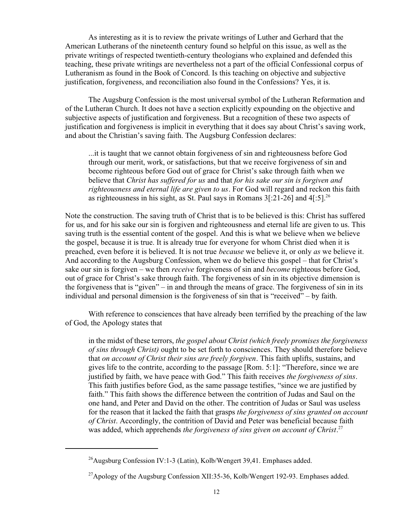As interesting as it is to review the private writings of Luther and Gerhard that the American Lutherans of the nineteenth century found so helpful on this issue, as well as the private writings of respected twentieth-century theologians who explained and defended this teaching, these private writings are nevertheless not a part of the official Confessional corpus of Lutheranism as found in the Book of Concord. Is this teaching on objective and subjective justification, forgiveness, and reconciliation also found in the Confessions? Yes, it is.

The Augsburg Confession is the most universal symbol of the Lutheran Reformation and of the Lutheran Church. It does not have a section explicitly expounding on the objective and subjective aspects of justification and forgiveness. But a recognition of these two aspects of justification and forgiveness is implicit in everything that it does say about Christ's saving work, and about the Christian's saving faith. The Augsburg Confession declares:

...it is taught that we cannot obtain forgiveness of sin and righteousness before God through our merit, work, or satisfactions, but that we receive forgiveness of sin and become righteous before God out of grace for Christ's sake through faith when we believe that *Christ has suffered for us* and that *for his sake our sin is forgiven and righteousness and eternal life are given to us*. For God will regard and reckon this faith as righteousness in his sight, as St. Paul says in Romans  $3$ [:21-26] and  $4$ [:5].<sup>26</sup>

Note the construction. The saving truth of Christ that is to be believed is this: Christ has suffered for us, and for his sake our sin is forgiven and righteousness and eternal life are given to us. This saving truth is the essential content of the gospel. And this is what we believe when we believe the gospel, because it is true. It is already true for everyone for whom Christ died when it is preached, even before it is believed. It is not true *because* we believe it, or only *as* we believe it. And according to the Augsburg Confession, when we do believe this gospel – that for Christ's sake our sin is forgiven – we then *receive* forgiveness of sin and *become* righteous before God, out of grace for Christ's sake through faith. The forgiveness of sin in its objective dimension is the forgiveness that is "given" – in and through the means of grace. The forgiveness of sin in its individual and personal dimension is the forgiveness of sin that is "received" – by faith.

With reference to consciences that have already been terrified by the preaching of the law of God, the Apology states that

in the midst of these terrors, *the gospel about Christ (which freely promises the forgiveness of sins through Christ)* ought to be set forth to consciences. They should therefore believe that *on account of Christ their sins are freely forgiven*. This faith uplifts, sustains, and gives life to the contrite, according to the passage [Rom. 5:1]: "Therefore, since we are justified by faith, we have peace with God." This faith receives *the forgiveness of sins*. This faith justifies before God, as the same passage testifies, "since we are justified by faith." This faith shows the difference between the contrition of Judas and Saul on the one hand, and Peter and David on the other. The contrition of Judas or Saul was useless for the reason that it lacked the faith that grasps *the forgiveness of sins granted on account of Christ*. Accordingly, the contrition of David and Peter was beneficial because faith was added, which apprehends *the forgiveness of sins given on account of Christ*. 27

<sup>26</sup>Augsburg Confession IV:1-3 (Latin), Kolb/Wengert 39,41. Emphases added.

<sup>&</sup>lt;sup>27</sup>Apology of the Augsburg Confession XII:35-36, Kolb/Wengert 192-93. Emphases added.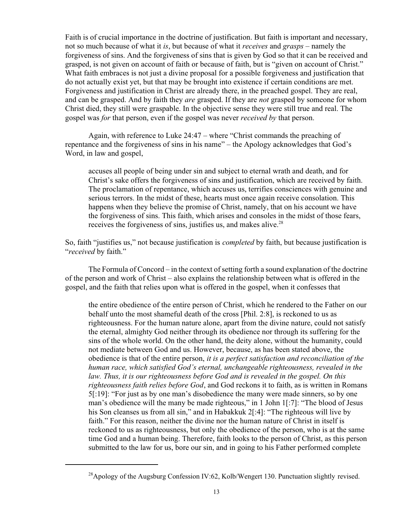Faith is of crucial importance in the doctrine of justification. But faith is important and necessary, not so much because of what it *is*, but because of what it *receives* and *grasps* – namely the forgiveness of sins. And the forgiveness of sins that is given by God so that it can be received and grasped, is not given on account of faith or because of faith, but is "given on account of Christ." What faith embraces is not just a divine proposal for a possible forgiveness and justification that do not actually exist yet, but that may be brought into existence if certain conditions are met. Forgiveness and justification in Christ are already there, in the preached gospel. They are real, and can be grasped. And by faith they *are* grasped. If they are *not* grasped by someone for whom Christ died, they still were graspable. In the objective sense they were still true and real. The gospel was *for* that person, even if the gospel was never *received by* that person.

Again, with reference to Luke 24:47 – where "Christ commands the preaching of repentance and the forgiveness of sins in his name" – the Apology acknowledges that God's Word, in law and gospel,

accuses all people of being under sin and subject to eternal wrath and death, and for Christ's sake offers the forgiveness of sins and justification, which are received by faith. The proclamation of repentance, which accuses us, terrifies consciences with genuine and serious terrors. In the midst of these, hearts must once again receive consolation. This happens when they believe the promise of Christ, namely, that on his account we have the forgiveness of sins. This faith, which arises and consoles in the midst of those fears, receives the forgiveness of sins, justifies us, and makes alive.<sup>28</sup>

So, faith "justifies us," not because justification is *completed* by faith, but because justification is "*received* by faith."

The Formula of Concord – in the context of setting forth a sound explanation of the doctrine of the person and work of Christ – also explains the relationship between what is offered in the gospel, and the faith that relies upon what is offered in the gospel, when it confesses that

the entire obedience of the entire person of Christ, which he rendered to the Father on our behalf unto the most shameful death of the cross [Phil. 2:8], is reckoned to us as righteousness. For the human nature alone, apart from the divine nature, could not satisfy the eternal, almighty God neither through its obedience nor through its suffering for the sins of the whole world. On the other hand, the deity alone, without the humanity, could not mediate between God and us. However, because, as has been stated above, the obedience is that of the entire person, *it is a perfect satisfaction and reconciliation of the human race, which satisfied God's eternal, unchangeable righteousness, revealed in the law. Thus, it is our righteousness before God and is revealed in the gospel. On this righteousness faith relies before God*, and God reckons it to faith, as is written in Romans 5[:19]: "For just as by one man's disobedience the many were made sinners, so by one man's obedience will the many be made righteous," in 1 John 1[:7]: "The blood of Jesus his Son cleanses us from all sin," and in Habakkuk 2[:4]: "The righteous will live by faith." For this reason, neither the divine nor the human nature of Christ in itself is reckoned to us as righteousness, but only the obedience of the person, who is at the same time God and a human being. Therefore, faith looks to the person of Christ, as this person submitted to the law for us, bore our sin, and in going to his Father performed complete

<sup>&</sup>lt;sup>28</sup>Apology of the Augsburg Confession IV:62, Kolb/Wengert 130. Punctuation slightly revised.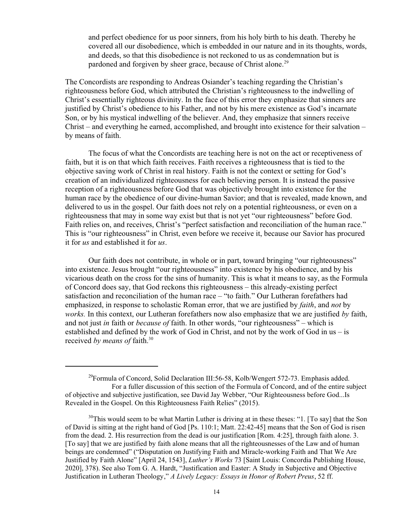and perfect obedience for us poor sinners, from his holy birth to his death. Thereby he covered all our disobedience, which is embedded in our nature and in its thoughts, words, and deeds, so that this disobedience is not reckoned to us as condemnation but is pardoned and forgiven by sheer grace, because of Christ alone.<sup>29</sup>

The Concordists are responding to Andreas Osiander's teaching regarding the Christian's righteousness before God, which attributed the Christian's righteousness to the indwelling of Christ's essentially righteous divinity. In the face of this error they emphasize that sinners are justified by Christ's obedience to his Father, and not by his mere existence as God's incarnate Son, or by his mystical indwelling of the believer. And, they emphasize that sinners receive Christ – and everything he earned, accomplished, and brought into existence for their salvation – by means of faith.

The focus of what the Concordists are teaching here is not on the act or receptiveness of faith, but it is on that which faith receives. Faith receives a righteousness that is tied to the objective saving work of Christ in real history. Faith is not the context or setting for God's creation of an individualized righteousness for each believing person. It is instead the passive reception of a righteousness before God that was objectively brought into existence for the human race by the obedience of our divine-human Savior; and that is revealed, made known, and delivered to us in the gospel. Our faith does not rely on a potential righteousness, or even on a righteousness that may in some way exist but that is not yet "our righteousness" before God. Faith relies on, and receives, Christ's "perfect satisfaction and reconciliation of the human race." This is "our righteousness" in Christ, even before we receive it, because our Savior has procured it for *us* and established it for *us*.

Our faith does not contribute, in whole or in part, toward bringing "our righteousness" into existence. Jesus brought "our righteousness" into existence by his obedience, and by his vicarious death on the cross for the sins of humanity. This is what it means to say, as the Formula of Concord does say, that God reckons this righteousness – this already-existing perfect satisfaction and reconciliation of the human race – "to faith." Our Lutheran forefathers had emphasized, in response to scholastic Roman error, that we are justified by *faith*, and *not* by *works.* In this context, our Lutheran forefathers now also emphasize that we are justified *by* faith, and not just *in* faith or *because of* faith. In other words, "our righteousness" – which is established and defined by the work of God in Christ, and not by the work of God in us  $-$  is received *by means of* faith.<sup>30</sup>

 $^{29}$ Formula of Concord, Solid Declaration III:56-58, Kolb/Wengert 572-73. Emphasis added. For a fuller discussion of this section of the Formula of Concord, and of the entire subject of objective and subjective justification, see David Jay Webber, "Our Righteousness before God...Is Revealed in the Gospel. On this Righteousness Faith Relies" (2015).

 $30$ This would seem to be what Martin Luther is driving at in these theses: "1. [To say] that the Son of David is sitting at the right hand of God [Ps. 110:1; Matt. 22:42-45] means that the Son of God is risen from the dead. 2. His resurrection from the dead is our justification [Rom. 4:25], through faith alone. 3. [To say] that we are justified by faith alone means that all the righteousnesses of the Law and of human beings are condemned" ("Disputation on Justifying Faith and Miracle-working Faith and That We Are Justified by Faith Alone" [April 24, 1543], *Luther's Works* 73 [Saint Louis: Concordia Publishing House, 2020], 378). See also Tom G. A. Hardt, "Justification and Easter: A Study in Subjective and Objective Justification in Lutheran Theology," *A Lively Legacy: Essays in Honor of Robert Preus*, 52 ff.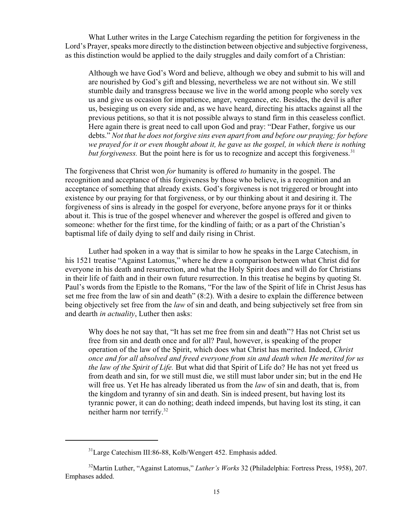What Luther writes in the Large Catechism regarding the petition for forgiveness in the Lord's Prayer, speaks more directly to the distinction between objective and subjective forgiveness, as this distinction would be applied to the daily struggles and daily comfort of a Christian:

Although we have God's Word and believe, although we obey and submit to his will and are nourished by God's gift and blessing, nevertheless we are not without sin. We still stumble daily and transgress because we live in the world among people who sorely vex us and give us occasion for impatience, anger, vengeance, etc. Besides, the devil is after us, besieging us on every side and, as we have heard, directing his attacks against all the previous petitions, so that it is not possible always to stand firm in this ceaseless conflict. Here again there is great need to call upon God and pray: "Dear Father, forgive us our debts." *Not that he does not forgive sins even apart from and before our praying; for before we prayed for it or even thought about it, he gave us the gospel, in which there is nothing but forgiveness.* But the point here is for us to recognize and accept this forgiveness.<sup>31</sup>

The forgiveness that Christ won *for* humanity is offered *to* humanity in the gospel. The recognition and acceptance of this forgiveness by those who believe, is a recognition and an acceptance of something that already exists. God's forgiveness is not triggered or brought into existence by our praying for that forgiveness, or by our thinking about it and desiring it. The forgiveness of sins is already in the gospel for everyone, before anyone prays for it or thinks about it. This is true of the gospel whenever and wherever the gospel is offered and given to someone: whether for the first time, for the kindling of faith; or as a part of the Christian's baptismal life of daily dying to self and daily rising in Christ.

Luther had spoken in a way that is similar to how he speaks in the Large Catechism, in his 1521 treatise "Against Latomus," where he drew a comparison between what Christ did for everyone in his death and resurrection, and what the Holy Spirit does and will do for Christians in their life of faith and in their own future resurrection. In this treatise he begins by quoting St. Paul's words from the Epistle to the Romans, "For the law of the Spirit of life in Christ Jesus has set me free from the law of sin and death" (8:2). With a desire to explain the difference between being objectively set free from the *law* of sin and death, and being subjectively set free from sin and dearth *in actuality*, Luther then asks:

Why does he not say that, "It has set me free from sin and death"? Has not Christ set us free from sin and death once and for all? Paul, however, is speaking of the proper operation of the law of the Spirit, which does what Christ has merited. Indeed, *Christ once and for all absolved and freed everyone from sin and death when He merited for us the law of the Spirit of Life.* But what did that Spirit of Life do? He has not yet freed us from death and sin, for we still must die, we still must labor under sin; but in the end He will free us. Yet He has already liberated us from the *law* of sin and death, that is, from the kingdom and tyranny of sin and death. Sin is indeed present, but having lost its tyrannic power, it can do nothing; death indeed impends, but having lost its sting, it can neither harm nor terrify.<sup>32</sup>

<sup>&</sup>lt;sup>31</sup>Large Catechism III:86-88, Kolb/Wengert 452. Emphasis added.

<sup>32</sup>Martin Luther, "Against Latomus," *Luther's Works* 32 (Philadelphia: Fortress Press, 1958), 207. Emphases added.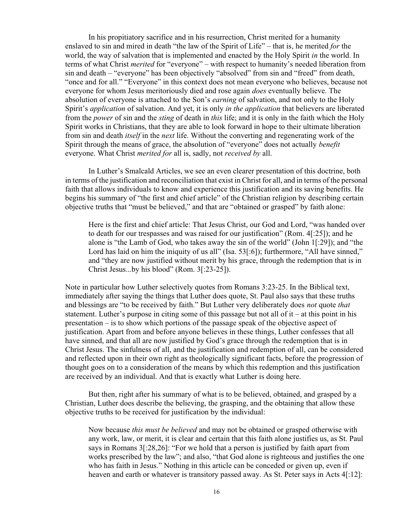In his propitiatory sacrifice and in his resurrection, Christ merited for a humanity enslaved to sin and mired in death "the law of the Spirit of Life" – that is, he merited *for* the world, the way of salvation that is implemented and enacted by the Holy Spirit *in* the world. In terms of what Christ *merited* for "everyone" – with respect to humanity's needed liberation from sin and death – "everyone" has been objectively "absolved" from sin and "freed" from death, "once and for all." "Everyone" in this context does not mean everyone who believes, because not everyone for whom Jesus meritoriously died and rose again *does* eventually believe. The absolution of everyone is attached to the Son's *earning* of salvation, and not only to the Holy Spirit's *application* of salvation. And yet, it is only *in the application* that believers are liberated from the *power* of sin and the *sting* of death in *this* life; and it is only in the faith which the Holy Spirit works in Christians, that they are able to look forward in hope to their ultimate liberation from sin and death *itself* in the *next* life. Without the converting and regenerating work of the Spirit through the means of grace, the absolution of "everyone" does not actually *benefit* everyone. What Christ *merited for* all is, sadly, not *received by* all.

In Luther's Smalcald Articles, we see an even clearer presentation of this doctrine, both in terms of the justification and reconciliation that exist in Christ for all, and in terms of the personal faith that allows individuals to know and experience this justification and its saving benefits. He begins his summary of "the first and chief article" of the Christian religion by describing certain objective truths that "must be believed," and that are "obtained or grasped" by faith alone:

Here is the first and chief article: That Jesus Christ, our God and Lord, "was handed over to death for our trespasses and was raised for our justification" (Rom. 4[:25]); and he alone is "the Lamb of God, who takes away the sin of the world" (John 1[:29]); and "the Lord has laid on him the iniquity of us all" (Isa. 53[:6]); furthermore, "All have sinned," and "they are now justified without merit by his grace, through the redemption that is in Christ Jesus...by his blood" (Rom. 3[:23-25]).

Note in particular how Luther selectively quotes from Romans 3:23-25. In the Biblical text, immediately after saying the things that Luther does quote, St. Paul also says that these truths and blessings are "to be received by faith." But Luther very deliberately does *not* quote *that* statement. Luther's purpose in citing some of this passage but not all of it – at this point in his presentation – is to show which portions of the passage speak of the objective aspect of justification. Apart from and before anyone believes in these things, Luther confesses that all have sinned, and that all are now justified by God's grace through the redemption that is in Christ Jesus. The sinfulness of all, and the justification and redemption of all, can be considered and reflected upon in their own right as theologically significant facts, before the progression of thought goes on to a consideration of the means by which this redemption and this justification are received by an individual. And that is exactly what Luther is doing here.

But then, right after his summary of what is to be believed, obtained, and grasped by a Christian, Luther does describe the believing, the grasping, and the obtaining that allow these objective truths to be received for justification by the individual:

Now because *this must be believed* and may not be obtained or grasped otherwise with any work, law, or merit, it is clear and certain that this faith alone justifies us, as St. Paul says in Romans 3[:28,26]: "For we hold that a person is justified by faith apart from works prescribed by the law"; and also, "that God alone is righteous and justifies the one who has faith in Jesus." Nothing in this article can be conceded or given up, even if heaven and earth or whatever is transitory passed away. As St. Peter says in Acts 4[:12]: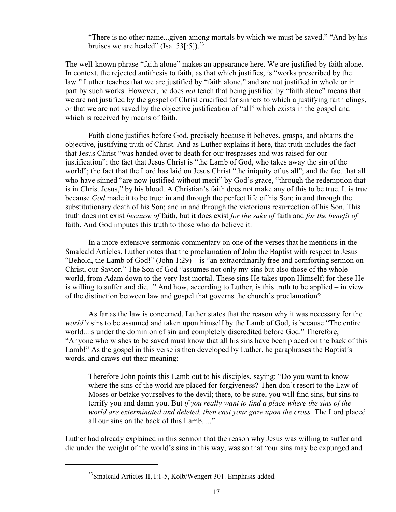"There is no other name...given among mortals by which we must be saved." "And by his bruises we are healed" (Isa.  $53[:5]$ ).<sup>33</sup>

The well-known phrase "faith alone" makes an appearance here. We are justified by faith alone. In context, the rejected antithesis to faith, as that which justifies, is "works prescribed by the law." Luther teaches that we are justified by "faith alone," and are not justified in whole or in part by such works. However, he does *not* teach that being justified by "faith alone" means that we are not justified by the gospel of Christ crucified for sinners to which a justifying faith clings, or that we are not saved by the objective justification of "all" which exists in the gospel and which is received by means of faith.

Faith alone justifies before God, precisely because it believes, grasps, and obtains the objective, justifying truth of Christ. And as Luther explains it here, that truth includes the fact that Jesus Christ "was handed over to death for our trespasses and was raised for our justification"; the fact that Jesus Christ is "the Lamb of God, who takes away the sin of the world"; the fact that the Lord has laid on Jesus Christ "the iniquity of us all"; and the fact that all who have sinned "are now justified without merit" by God's grace, "through the redemption that is in Christ Jesus," by his blood. A Christian's faith does not make any of this to be true. It is true because *God* made it to be true: in and through the perfect life of his Son; in and through the substitutionary death of his Son; and in and through the victorious resurrection of his Son. This truth does not exist *because of* faith, but it does exist *for the sake of* faith and *for the benefit of* faith. And God imputes this truth to those who do believe it.

In a more extensive sermonic commentary on one of the verses that he mentions in the Smalcald Articles, Luther notes that the proclamation of John the Baptist with respect to Jesus – "Behold, the Lamb of God!" (John 1:29) – is "an extraordinarily free and comforting sermon on Christ, our Savior." The Son of God "assumes not only my sins but also those of the whole world, from Adam down to the very last mortal. These sins He takes upon Himself; for these He is willing to suffer and die..." And how, according to Luther, is this truth to be applied – in view of the distinction between law and gospel that governs the church's proclamation?

As far as the law is concerned, Luther states that the reason why it was necessary for the *world's* sins to be assumed and taken upon himself by the Lamb of God, is because "The entire world...is under the dominion of sin and completely discredited before God." Therefore, "Anyone who wishes to be saved must know that all his sins have been placed on the back of this Lamb!" As the gospel in this verse is then developed by Luther, he paraphrases the Baptist's words, and draws out their meaning:

Therefore John points this Lamb out to his disciples, saying: "Do you want to know where the sins of the world are placed for forgiveness? Then don't resort to the Law of Moses or betake yourselves to the devil; there, to be sure, you will find sins, but sins to terrify you and damn you. But *if you really want to find a place where the sins of the world are exterminated and deleted, then cast your gaze upon the cross.* The Lord placed all our sins on the back of this Lamb.  $\cdot$ 

Luther had already explained in this sermon that the reason why Jesus was willing to suffer and die under the weight of the world's sins in this way, was so that "our sins may be expunged and

<sup>&</sup>lt;sup>33</sup>Smalcald Articles II, I:1-5, Kolb/Wengert 301. Emphasis added.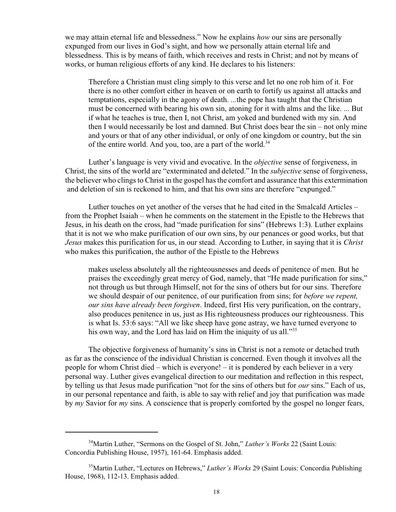we may attain eternal life and blessedness." Now he explains *how* our sins are personally expunged from our lives in God's sight, and how we personally attain eternal life and blessedness. This is by means of faith, which receives and rests in Christ; and not by means of works, or human religious efforts of any kind. He declares to his listeners:

Therefore a Christian must cling simply to this verse and let no one rob him of it. For there is no other comfort either in heaven or on earth to fortify us against all attacks and temptations, especially in the agony of death. ...the pope has taught that the Christian must be concerned with bearing his own sin, atoning for it with alms and the like. ... But if what he teaches is true, then I, not Christ, am yoked and burdened with my sin. And then I would necessarily be lost and damned. But Christ does bear the sin – not only mine and yours or that of any other individual, or only of one kingdom or country, but the sin of the entire world. And you, too, are a part of the world.<sup>34</sup>

Luther's language is very vivid and evocative. In the *objective* sense of forgiveness, in Christ, the sins of the world are "exterminated and deleted." In the *subjective* sense of forgiveness, the believer who clings to Christ in the gospel has the comfort and assurance that this extermination and deletion of sin is reckoned to him, and that his own sins are therefore "expunged."

Luther touches on yet another of the verses that he had cited in the Smalcald Articles – from the Prophet Isaiah – when he comments on the statement in the Epistle to the Hebrews that Jesus, in his death on the cross, had "made purification for sins" (Hebrews 1:3). Luther explains that it is not we who make purification of our own sins, by our penances or good works, but that *Jesus* makes this purification for us, in our stead. According to Luther, in saying that it is *Christ* who makes this purification, the author of the Epistle to the Hebrews

makes useless absolutely all the righteousnesses and deeds of penitence of men. But he praises the exceedingly great mercy of God, namely, that "He made purification for sins," not through us but through Himself, not for the sins of others but for our sins. Therefore we should despair of our penitence, of our purification from sins; for *before we repent, our sins have already been forgiven*. Indeed, first His very purification, on the contrary, also produces penitence in us, just as His righteousness produces our righteousness. This is what Is. 53:6 says: "All we like sheep have gone astray, we have turned everyone to his own way, and the Lord has laid on Him the iniquity of us all."<sup>35</sup>

The objective forgiveness of humanity's sins in Christ is not a remote or detached truth as far as the conscience of the individual Christian is concerned. Even though it involves all the people for whom Christ died – which is everyone! – it is pondered by each believer in a very personal way. Luther gives evangelical direction to our meditation and reflection in this respect, by telling us that Jesus made purification "not for the sins of others but for *our* sins." Each of us, in our personal repentance and faith, is able to say with relief and joy that purification was made by *my* Savior for *my* sins. A conscience that is properly comforted by the gospel no longer fears,

<sup>&</sup>lt;sup>34</sup>Martin Luther, "Sermons on the Gospel of St. John," *Luther's Works* 22 (Saint Louis: Concordia Publishing House, 1957), 161-64. Emphasis added.

<sup>35</sup>Martin Luther, "Lectures on Hebrews," *Luther's Works* 29 (Saint Louis: Concordia Publishing House, 1968), 112-13. Emphasis added.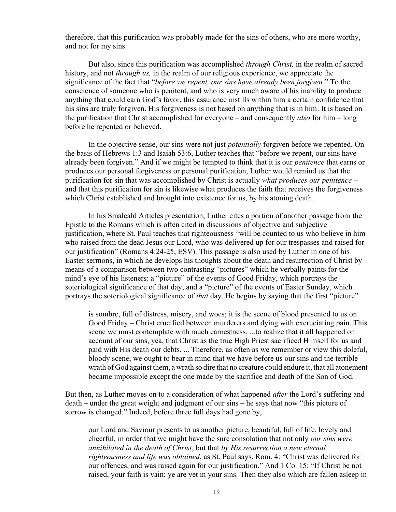therefore, that this purification was probably made for the sins of others, who are more worthy, and not for my sins.

But also, since this purification was accomplished *through Christ,* in the realm of sacred history, and not *through us,* in the realm of our religious experience, we appreciate the significance of the fact that "*before we repent, our sins have already been forgiven*." To the conscience of someone who is penitent, and who is very much aware of his inability to produce anything that could earn God's favor, this assurance instills within him a certain confidence that his sins are truly forgiven. His forgiveness is not based on anything that is in him. It is based on the purification that Christ accomplished for everyone – and consequently *also* for him – long before he repented or believed.

In the objective sense, our sins were not just *potentially* forgiven before we repented. On the basis of Hebrews 1:3 and Isaiah 53:6, Luther teaches that "before we repent, our sins have already been forgiven." And if we might be tempted to think that it is our *penitence* that earns or produces our personal forgiveness or personal purification, Luther would remind us that the purification for sin that was accomplished by Christ is actually *what produces our penitence* – and that this purification for sin is likewise what produces the faith that receives the forgiveness which Christ established and brought into existence for us, by his atoning death.

In his Smalcald Articles presentation, Luther cites a portion of another passage from the Epistle to the Romans which is often cited in discussions of objective and subjective justification, where St. Paul teaches that righteousness "will be counted to us who believe in him who raised from the dead Jesus our Lord, who was delivered up for our trespasses and raised for our justification" (Romans 4:24-25, ESV). This passage is also used by Luther in one of his Easter sermons, in which he develops his thoughts about the death and resurrection of Christ by means of a comparison between two contrasting "pictures" which he verbally paints for the mind's eye of his listeners: a "picture" of the events of Good Friday, which portrays the soteriological significance of that day; and a "picture" of the events of Easter Sunday, which portrays the soteriological significance of *that* day. He begins by saying that the first "picture"

is sombre, full of distress, misery, and woes; it is the scene of blood presented to us on Good Friday – Christ crucified between murderers and dying with excruciating pain. This scene we must contemplate with much earnestness, ...to realize that it all happened on account of our sins, yea, that Christ as the true High Priest sacrificed Himself for us and paid with His death our debts. ... Therefore, as often as we remember or view this doleful, bloody scene, we ought to bear in mind that we have before us our sins and the terrible wrath of God against them, a wrath so dire that no creature could endure it, that all atonement became impossible except the one made by the sacrifice and death of the Son of God.

But then, as Luther moves on to a consideration of what happened *after* the Lord's suffering and death – under the great weight and judgment of our sins – he says that now "this picture of sorrow is changed." Indeed, before three full days had gone by,

our Lord and Saviour presents to us another picture, beautiful, full of life, lovely and cheerful, in order that we might have the sure consolation that not only *our sins were annihilated in the death of Christ*, but that *by His resurrection a new eternal righteousness and life was obtained*, as St. Paul says, Rom. 4: "Christ was delivered for our offences, and was raised again for our justification." And 1 Co. 15: "If Christ be not raised, your faith is vain; ye are yet in your sins. Then they also which are fallen asleep in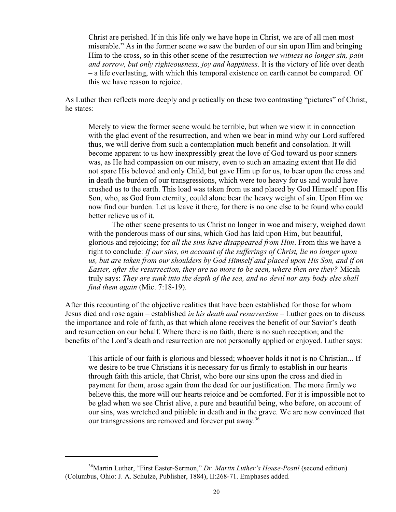Christ are perished. If in this life only we have hope in Christ, we are of all men most miserable." As in the former scene we saw the burden of our sin upon Him and bringing Him to the cross, so in this other scene of the resurrection *we witness no longer sin, pain and sorrow, but only righteousness, joy and happiness*. It is the victory of life over death – a life everlasting, with which this temporal existence on earth cannot be compared. Of this we have reason to rejoice.

As Luther then reflects more deeply and practically on these two contrasting "pictures" of Christ, he states:

Merely to view the former scene would be terrible, but when we view it in connection with the glad event of the resurrection, and when we bear in mind why our Lord suffered thus, we will derive from such a contemplation much benefit and consolation. It will become apparent to us how inexpressibly great the love of God toward us poor sinners was, as He had compassion on our misery, even to such an amazing extent that He did not spare His beloved and only Child, but gave Him up for us, to bear upon the cross and in death the burden of our transgressions, which were too heavy for us and would have crushed us to the earth. This load was taken from us and placed by God Himself upon His Son, who, as God from eternity, could alone bear the heavy weight of sin. Upon Him we now find our burden. Let us leave it there, for there is no one else to be found who could better relieve us of it.

The other scene presents to us Christ no longer in woe and misery, weighed down with the ponderous mass of our sins, which God has laid upon Him, but beautiful, glorious and rejoicing; for *all the sins have disappeared from Him*. From this we have a right to conclude: *If our sins, on account of the sufferings of Christ, lie no longer upon us, but are taken from our shoulders by God Himself and placed upon His Son, and if on Easter, after the resurrection, they are no more to be seen, where then are they?* Micah truly says: *They are sunk into the depth of the sea, and no devil nor any body else shall find them again* (Mic. 7:18-19).

After this recounting of the objective realities that have been established for those for whom Jesus died and rose again – established *in his death and resurrection* – Luther goes on to discuss the importance and role of faith, as that which alone receives the benefit of our Savior's death and resurrection on our behalf. Where there is no faith, there is no such reception; and the benefits of the Lord's death and resurrection are not personally applied or enjoyed. Luther says:

This article of our faith is glorious and blessed; whoever holds it not is no Christian... If we desire to be true Christians it is necessary for us firmly to establish in our hearts through faith this article, that Christ, who bore our sins upon the cross and died in payment for them, arose again from the dead for our justification. The more firmly we believe this, the more will our hearts rejoice and be comforted. For it is impossible not to be glad when we see Christ alive, a pure and beautiful being, who before, on account of our sins, was wretched and pitiable in death and in the grave. We are now convinced that our transgressions are removed and forever put away.<sup>36</sup>

<sup>36</sup>Martin Luther, "First Easter-Sermon," *Dr. Martin Luther's House-Postil* (second edition) (Columbus, Ohio: J. A. Schulze, Publisher, 1884), II:268-71. Emphases added.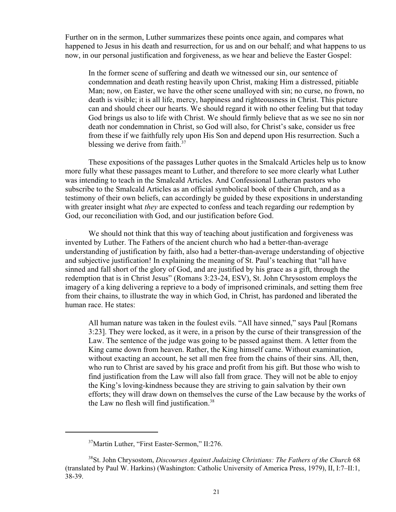Further on in the sermon, Luther summarizes these points once again, and compares what happened to Jesus in his death and resurrection, for us and on our behalf; and what happens to us now, in our personal justification and forgiveness, as we hear and believe the Easter Gospel:

In the former scene of suffering and death we witnessed our sin, our sentence of condemnation and death resting heavily upon Christ, making Him a distressed, pitiable Man; now, on Easter, we have the other scene unalloyed with sin; no curse, no frown, no death is visible; it is all life, mercy, happiness and righteousness in Christ. This picture can and should cheer our hearts. We should regard it with no other feeling but that today God brings us also to life with Christ. We should firmly believe that as we see no sin nor death nor condemnation in Christ, so God will also, for Christ's sake, consider us free from these if we faithfully rely upon His Son and depend upon His resurrection. Such a blessing we derive from faith. $37$ 

These expositions of the passages Luther quotes in the Smalcald Articles help us to know more fully what these passages meant to Luther, and therefore to see more clearly what Luther was intending to teach in the Smalcald Articles. And Confessional Lutheran pastors who subscribe to the Smalcald Articles as an official symbolical book of their Church, and as a testimony of their own beliefs, can accordingly be guided by these expositions in understanding with greater insight what *they* are expected to confess and teach regarding our redemption by God, our reconciliation with God, and our justification before God.

We should not think that this way of teaching about justification and forgiveness was invented by Luther. The Fathers of the ancient church who had a better-than-average understanding of justification by faith, also had a better-than-average understanding of objective and subjective justification! In explaining the meaning of St. Paul's teaching that "all have sinned and fall short of the glory of God, and are justified by his grace as a gift, through the redemption that is in Christ Jesus" (Romans 3:23-24, ESV), St. John Chrysostom employs the imagery of a king delivering a reprieve to a body of imprisoned criminals, and setting them free from their chains, to illustrate the way in which God, in Christ, has pardoned and liberated the human race. He states:

All human nature was taken in the foulest evils. "All have sinned," says Paul [Romans 3:23]. They were locked, as it were, in a prison by the curse of their transgression of the Law. The sentence of the judge was going to be passed against them. A letter from the King came down from heaven. Rather, the King himself came. Without examination, without exacting an account, he set all men free from the chains of their sins. All, then, who run to Christ are saved by his grace and profit from his gift. But those who wish to find justification from the Law will also fall from grace. They will not be able to enjoy the King's loving-kindness because they are striving to gain salvation by their own efforts; they will draw down on themselves the curse of the Law because by the works of the Law no flesh will find justification.<sup>38</sup>

<sup>&</sup>lt;sup>37</sup>Martin Luther, "First Easter-Sermon," II:276.

<sup>&</sup>lt;sup>38</sup>St. John Chrysostom, *Discourses Against Judaizing Christians: The Fathers of the Church* 68 (translated by Paul W. Harkins) (Washington: Catholic University of America Press, 1979), II, I:7–II:1, 38-39.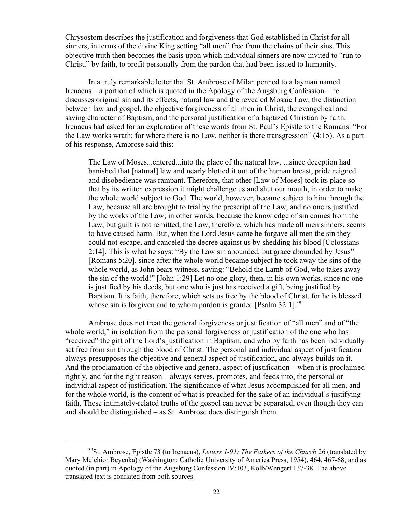Chrysostom describes the justification and forgiveness that God established in Christ for all sinners, in terms of the divine King setting "all men" free from the chains of their sins. This objective truth then becomes the basis upon which individual sinners are now invited to "run to Christ," by faith, to profit personally from the pardon that had been issued to humanity.

In a truly remarkable letter that St. Ambrose of Milan penned to a layman named Irenaeus – a portion of which is quoted in the Apology of the Augsburg Confession – he discusses original sin and its effects, natural law and the revealed Mosaic Law, the distinction between law and gospel, the objective forgiveness of all men in Christ, the evangelical and saving character of Baptism, and the personal justification of a baptized Christian by faith. Irenaeus had asked for an explanation of these words from St. Paul's Epistle to the Romans: "For the Law works wrath; for where there is no Law, neither is there transgression" (4:15). As a part of his response, Ambrose said this:

The Law of Moses...entered...into the place of the natural law. ...since deception had banished that [natural] law and nearly blotted it out of the human breast, pride reigned and disobedience was rampant. Therefore, that other [Law of Moses] took its place so that by its written expression it might challenge us and shut our mouth, in order to make the whole world subject to God. The world, however, became subject to him through the Law, because all are brought to trial by the prescript of the Law, and no one is justified by the works of the Law; in other words, because the knowledge of sin comes from the Law, but guilt is not remitted, the Law, therefore, which has made all men sinners, seems to have caused harm. But, when the Lord Jesus came he forgave all men the sin they could not escape, and canceled the decree against us by shedding his blood [Colossians 2:14]. This is what he says: "By the Law sin abounded, but grace abounded by Jesus" [Romans 5:20], since after the whole world became subject he took away the sins of the whole world, as John bears witness, saying: "Behold the Lamb of God, who takes away the sin of the world!" [John 1:29] Let no one glory, then, in his own works, since no one is justified by his deeds, but one who is just has received a gift, being justified by Baptism. It is faith, therefore, which sets us free by the blood of Christ, for he is blessed whose sin is forgiven and to whom pardon is granted [Psalm  $32:1$ ]<sup>39</sup>

Ambrose does not treat the general forgiveness or justification of "all men" and of "the whole world," in isolation from the personal forgiveness or justification of the one who has "received" the gift of the Lord's justification in Baptism, and who by faith has been individually set free from sin through the blood of Christ. The personal and individual aspect of justification always presupposes the objective and general aspect of justification, and always builds on it. And the proclamation of the objective and general aspect of justification – when it is proclaimed rightly, and for the right reason – always serves, promotes, and feeds into, the personal or individual aspect of justification. The significance of what Jesus accomplished for all men, and for the whole world, is the content of what is preached for the sake of an individual's justifying faith. These intimately-related truths of the gospel can never be separated, even though they can and should be distinguished – as St. Ambrose does distinguish them.

<sup>39</sup> St. Ambrose, Epistle 73 (to Irenaeus), *Letters 1-91: The Fathers of the Church* 26 (translated by Mary Melchior Beyenka) (Washington: Catholic University of America Press, 1954), 464, 467-68; and as quoted (in part) in Apology of the Augsburg Confession IV:103, Kolb/Wengert 137-38. The above translated text is conflated from both sources.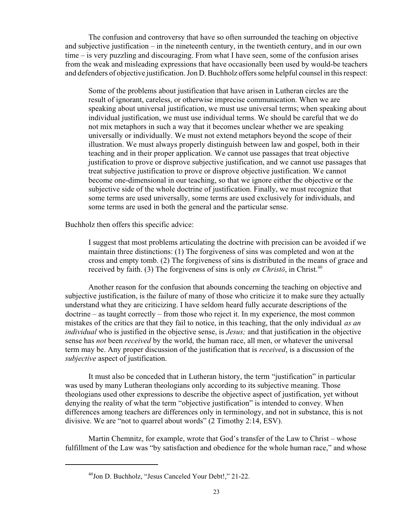The confusion and controversy that have so often surrounded the teaching on objective and subjective justification – in the nineteenth century, in the twentieth century, and in our own time – is very puzzling and discouraging. From what I have seen, some of the confusion arises from the weak and misleading expressions that have occasionally been used by would-be teachers and defenders of objective justification. Jon D. Buchholz offers some helpful counsel in this respect:

Some of the problems about justification that have arisen in Lutheran circles are the result of ignorant, careless, or otherwise imprecise communication. When we are speaking about universal justification, we must use universal terms; when speaking about individual justification, we must use individual terms. We should be careful that we do not mix metaphors in such a way that it becomes unclear whether we are speaking universally or individually. We must not extend metaphors beyond the scope of their illustration. We must always properly distinguish between law and gospel, both in their teaching and in their proper application. We cannot use passages that treat objective justification to prove or disprove subjective justification, and we cannot use passages that treat subjective justification to prove or disprove objective justification. We cannot become one-dimensional in our teaching, so that we ignore either the objective or the subjective side of the whole doctrine of justification. Finally, we must recognize that some terms are used universally, some terms are used exclusively for individuals, and some terms are used in both the general and the particular sense.

Buchholz then offers this specific advice:

I suggest that most problems articulating the doctrine with precision can be avoided if we maintain three distinctions: (1) The forgiveness of sins was completed and won at the cross and empty tomb. (2) The forgiveness of sins is distributed in the means of grace and received by faith. (3) The forgiveness of sins is only *en Christo*, in Christ.<sup>40</sup>

Another reason for the confusion that abounds concerning the teaching on objective and subjective justification, is the failure of many of those who criticize it to make sure they actually understand what they are criticizing. I have seldom heard fully accurate descriptions of the doctrine – as taught correctly – from those who reject it. In my experience, the most common mistakes of the critics are that they fail to notice, in this teaching, that the only individual *as an individual* who is justified in the objective sense, is *Jesus;* and that justification in the objective sense has *not* been *received* by the world, the human race, all men, or whatever the universal term may be. Any proper discussion of the justification that is *received*, is a discussion of the *subjective* aspect of justification.

It must also be conceded that in Lutheran history, the term "justification" in particular was used by many Lutheran theologians only according to its subjective meaning. Those theologians used other expressions to describe the objective aspect of justification, yet without denying the reality of what the term "objective justification" is intended to convey. When differences among teachers are differences only in terminology, and not in substance, this is not divisive. We are "not to quarrel about words" (2 Timothy 2:14, ESV).

Martin Chemnitz, for example, wrote that God's transfer of the Law to Christ – whose fulfillment of the Law was "by satisfaction and obedience for the whole human race," and whose

<sup>40</sup> Jon D. Buchholz, "Jesus Canceled Your Debt!," 21-22.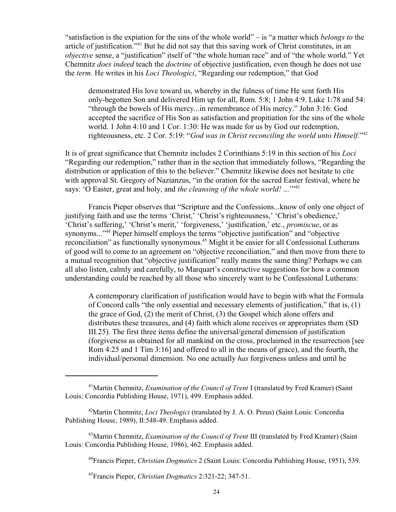"satisfaction is the expiation for the sins of the whole world" – is "a matter which *belongs to* the article of justification."<sup>41</sup> But he did not say that this saving work of Christ constitutes, in an *objective* sense, a "justification" itself of "the whole human race" and of "the whole world." Yet Chemnitz *does indeed* teach the *doctrine* of objective justification, even though he does not use the *term*. He writes in his *Loci Theologici*, "Regarding our redemption," that God

demonstrated His love toward us, whereby in the fulness of time He sent forth His only-begotten Son and delivered Him up for all, Rom. 5:8; 1 John 4:9. Luke 1:78 and 54: "through the bowels of His mercy...in remembrance of His mercy." John 3:16: God accepted the sacrifice of His Son as satisfaction and propitiation for the sins of the whole world. 1 John 4:10 and 1 Cor. 1:30: He was made for us by God our redemption, righteousness, etc. 2 Cor. 5:19: "*God was in Christ reconciling the world unto Himself*."<sup>42</sup>

It is of great significance that Chemnitz includes 2 Corinthians 5:19 in this section of his *Loci* "Regarding our redemption," rather than in the section that immediately follows, "Regarding the distribution or application of this to the believer." Chemnitz likewise does not hesitate to cite with approval St. Gregory of Nazianzus, "in the oration for the sacred Easter festival, where he says: 'O Easter, great and holy, and *the cleansing of the whole world!* ...'"<sup>43</sup>

Francis Pieper observes that "Scripture and the Confessions...know of only one object of justifying faith and use the terms 'Christ,' 'Christ's righteousness,' 'Christ's obedience,' 'Christ's suffering,' 'Christ's merit,' 'forgiveness,' 'justification,' etc., *promiscue*, or as synonyms..."<sup>44</sup> Pieper himself employs the terms "objective justification" and "objective reconciliation" as functionally synonymous.<sup>45</sup> Might it be easier for all Confessional Lutherans of good will to come to an agreement on "objective reconciliation," and then move from there to a mutual recognition that "objective justification" really means the same thing? Perhaps we can all also listen, calmly and carefully, to Marquart's constructive suggestions for how a common understanding could be reached by all those who sincerely want to be Confessional Lutherans:

A contemporary clarification of justification would have to begin with what the Formula of Concord calls "the only essential and necessary elements of justification," that is, (1) the grace of God, (2) the merit of Christ, (3) the Gospel which alone offers and distributes these treasures, and (4) faith which alone receives or appropriates them (SD III.25). The first three items define the universal/general dimension of justification (forgiveness as obtained for all mankind on the cross, proclaimed in the resurrection [see Rom 4:25 and 1 Tim 3:16] and offered to all in the means of grace), and the fourth, the individual/personal dimension. No one actually *has* forgiveness unless and until he

<sup>&</sup>lt;sup>41</sup>Martin Chemnitz, *Examination of the Council of Trent* I (translated by Fred Kramer) (Saint Louis: Concordia Publishing House, 1971), 499. Emphasis added.

<sup>42</sup>Martin Chemnitz, *Loci Theologici* (translated by J. A. O. Preus) (Saint Louis: Concordia Publishing House, 1989), II:548-49. Emphasis added.

<sup>43</sup>Martin Chemnitz, *Examination of the Council of Trent* III (translated by Fred Kramer) (Saint Louis: Concordia Publishing House, 1986), 462. Emphasis added.

<sup>44</sup> Francis Pieper, *Christian Dogmatics* 2 (Saint Louis: Concordia Publishing House, 1951), 539.

<sup>45</sup> Francis Pieper, *Christian Dogmatics* 2:321-22; 347-51.